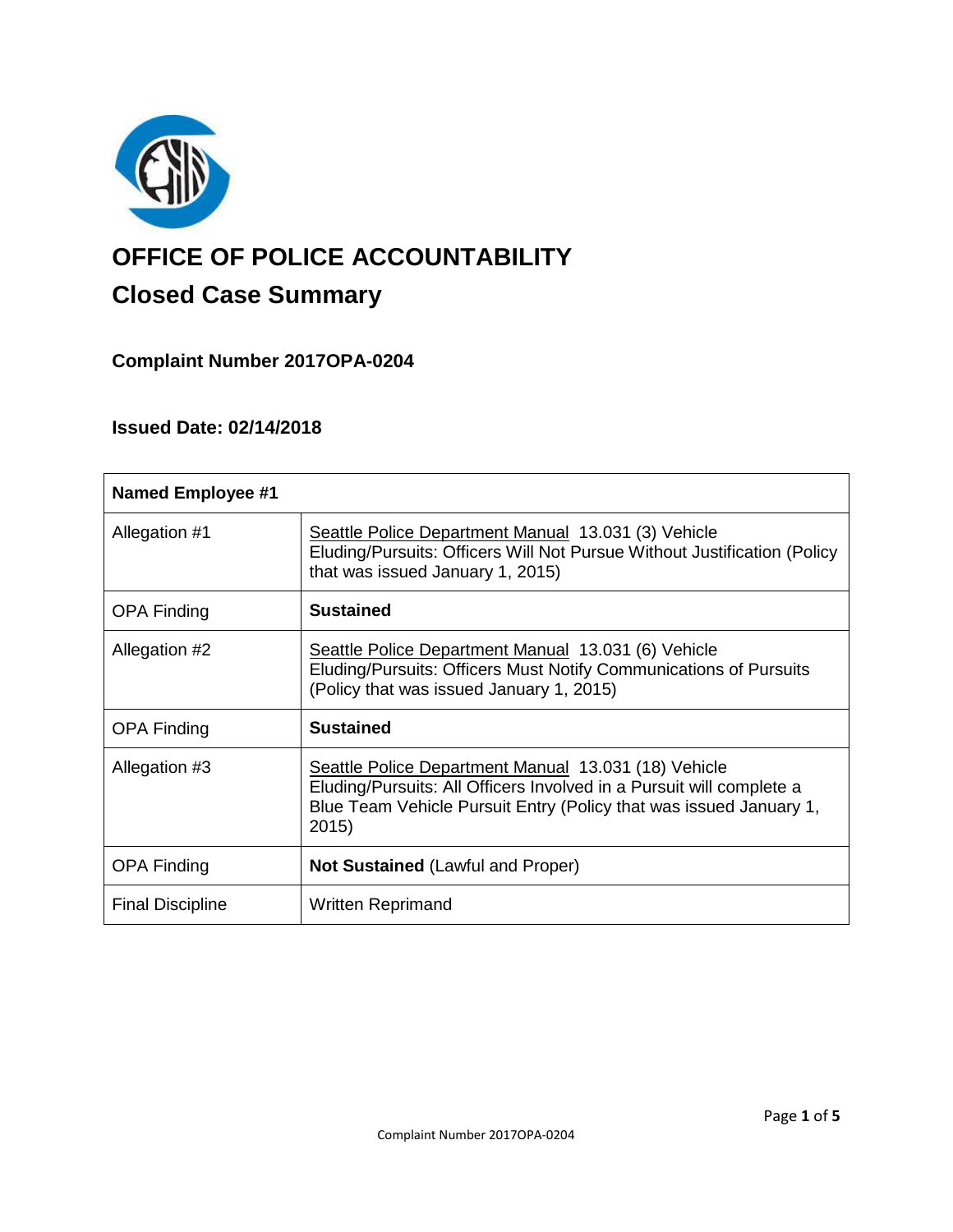

# **OFFICE OF POLICE ACCOUNTABILITY**

# **Closed Case Summary**

# **Complaint Number 2017OPA-0204**

# **Issued Date: 02/14/2018**

| <b>Named Employee #1</b> |                                                                                                                                                                                                             |
|--------------------------|-------------------------------------------------------------------------------------------------------------------------------------------------------------------------------------------------------------|
| Allegation #1            | Seattle Police Department Manual 13.031 (3) Vehicle<br>Eluding/Pursuits: Officers Will Not Pursue Without Justification (Policy<br>that was issued January 1, 2015)                                         |
| <b>OPA Finding</b>       | <b>Sustained</b>                                                                                                                                                                                            |
| Allegation #2            | Seattle Police Department Manual 13.031 (6) Vehicle<br>Eluding/Pursuits: Officers Must Notify Communications of Pursuits<br>(Policy that was issued January 1, 2015)                                        |
| <b>OPA Finding</b>       | <b>Sustained</b>                                                                                                                                                                                            |
| Allegation #3            | Seattle Police Department Manual 13.031 (18) Vehicle<br>Eluding/Pursuits: All Officers Involved in a Pursuit will complete a<br>Blue Team Vehicle Pursuit Entry (Policy that was issued January 1,<br>2015) |
| <b>OPA Finding</b>       | Not Sustained (Lawful and Proper)                                                                                                                                                                           |
| <b>Final Discipline</b>  | <b>Written Reprimand</b>                                                                                                                                                                                    |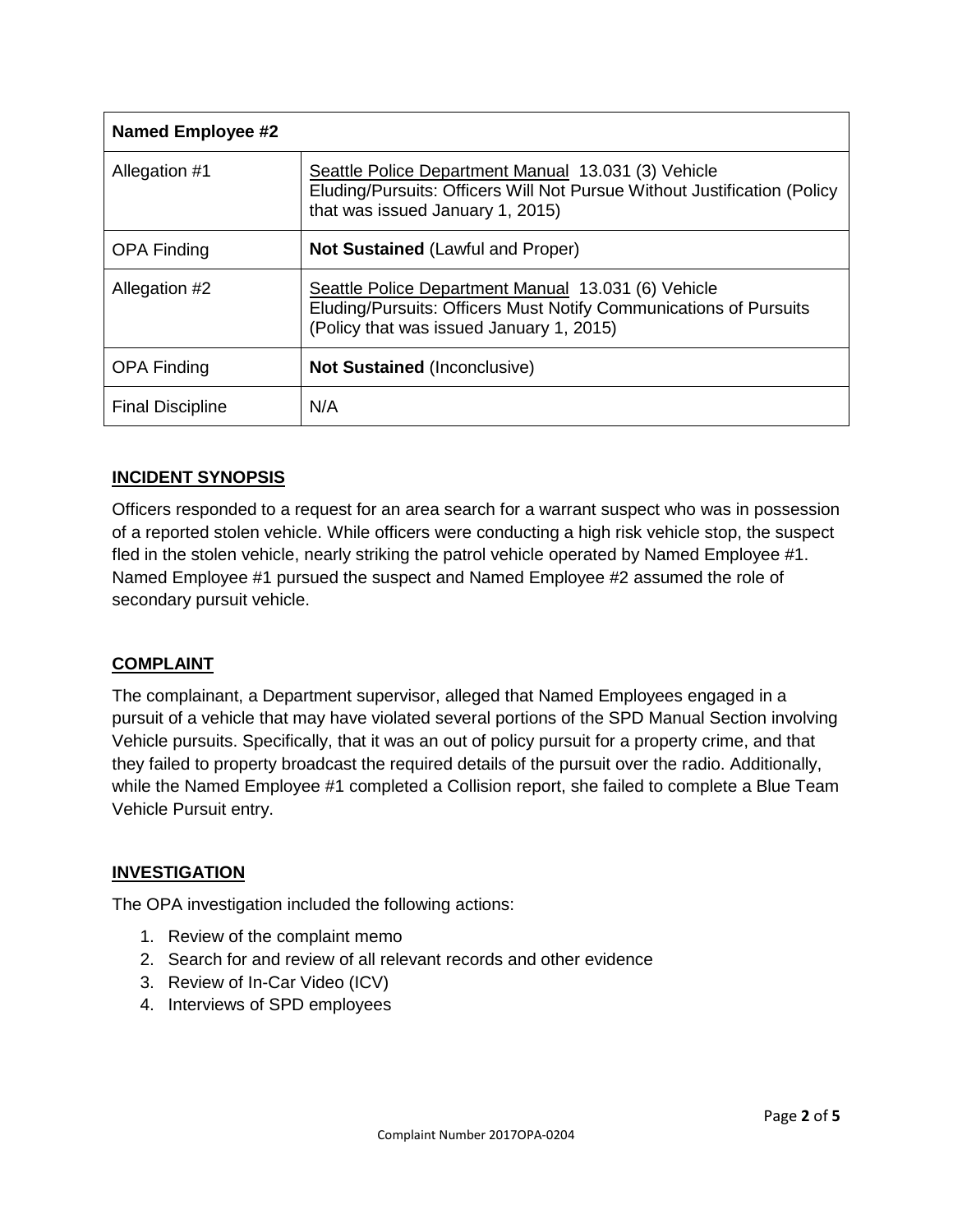| <b>Named Employee #2</b> |                                                                                                                                                                      |
|--------------------------|----------------------------------------------------------------------------------------------------------------------------------------------------------------------|
| Allegation #1            | Seattle Police Department Manual 13.031 (3) Vehicle<br>Eluding/Pursuits: Officers Will Not Pursue Without Justification (Policy<br>that was issued January 1, 2015)  |
| <b>OPA Finding</b>       | <b>Not Sustained (Lawful and Proper)</b>                                                                                                                             |
| Allegation #2            | Seattle Police Department Manual 13.031 (6) Vehicle<br>Eluding/Pursuits: Officers Must Notify Communications of Pursuits<br>(Policy that was issued January 1, 2015) |
| <b>OPA Finding</b>       | <b>Not Sustained (Inconclusive)</b>                                                                                                                                  |
| <b>Final Discipline</b>  | N/A                                                                                                                                                                  |

# **INCIDENT SYNOPSIS**

Officers responded to a request for an area search for a warrant suspect who was in possession of a reported stolen vehicle. While officers were conducting a high risk vehicle stop, the suspect fled in the stolen vehicle, nearly striking the patrol vehicle operated by Named Employee #1. Named Employee #1 pursued the suspect and Named Employee #2 assumed the role of secondary pursuit vehicle.

# **COMPLAINT**

The complainant, a Department supervisor, alleged that Named Employees engaged in a pursuit of a vehicle that may have violated several portions of the SPD Manual Section involving Vehicle pursuits. Specifically, that it was an out of policy pursuit for a property crime, and that they failed to property broadcast the required details of the pursuit over the radio. Additionally, while the Named Employee #1 completed a Collision report, she failed to complete a Blue Team Vehicle Pursuit entry.

# **INVESTIGATION**

The OPA investigation included the following actions:

- 1. Review of the complaint memo
- 2. Search for and review of all relevant records and other evidence
- 3. Review of In-Car Video (ICV)
- 4. Interviews of SPD employees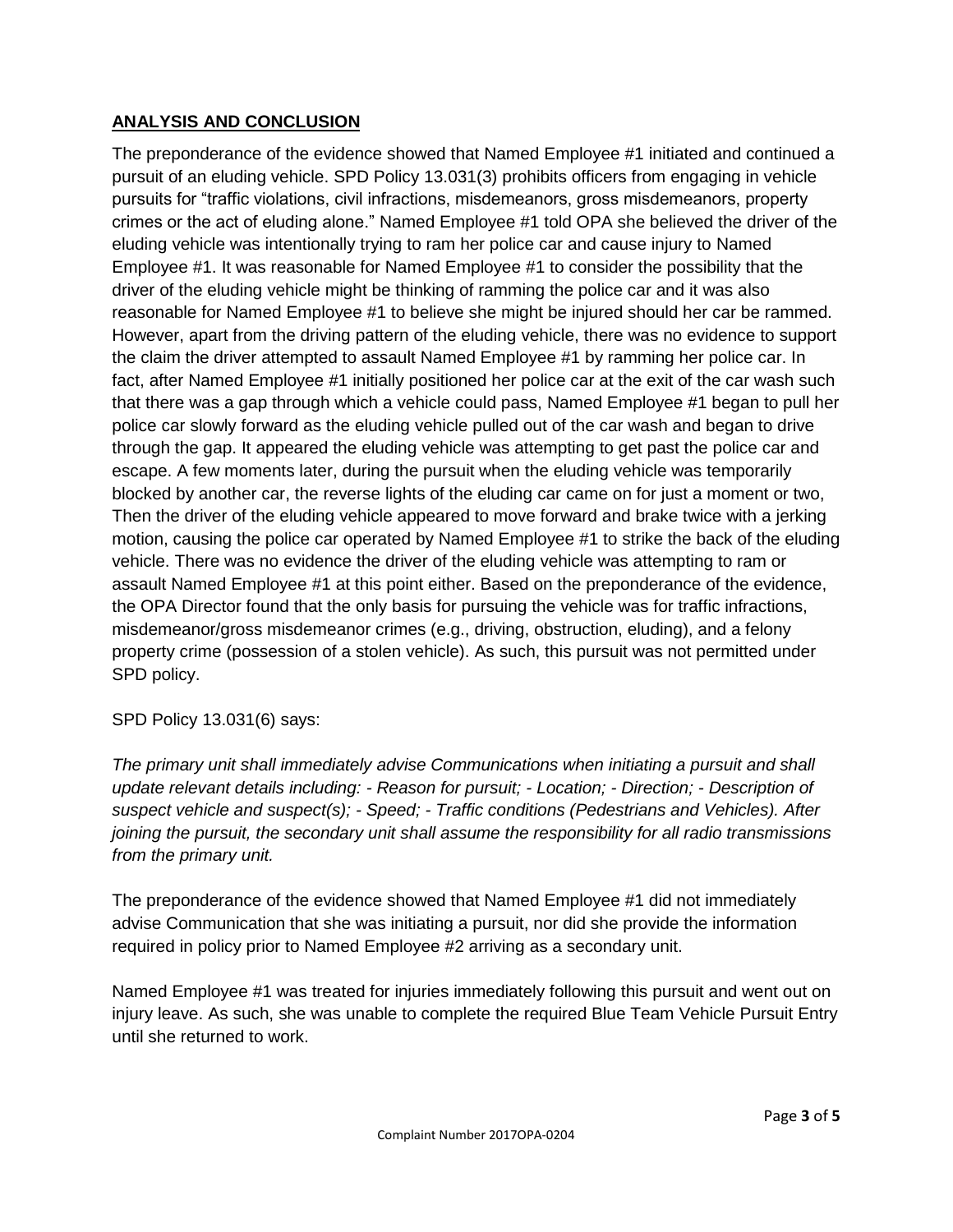# **ANALYSIS AND CONCLUSION**

The preponderance of the evidence showed that Named Employee #1 initiated and continued a pursuit of an eluding vehicle. SPD Policy 13.031(3) prohibits officers from engaging in vehicle pursuits for "traffic violations, civil infractions, misdemeanors, gross misdemeanors, property crimes or the act of eluding alone." Named Employee #1 told OPA she believed the driver of the eluding vehicle was intentionally trying to ram her police car and cause injury to Named Employee #1. It was reasonable for Named Employee #1 to consider the possibility that the driver of the eluding vehicle might be thinking of ramming the police car and it was also reasonable for Named Employee #1 to believe she might be injured should her car be rammed. However, apart from the driving pattern of the eluding vehicle, there was no evidence to support the claim the driver attempted to assault Named Employee #1 by ramming her police car. In fact, after Named Employee #1 initially positioned her police car at the exit of the car wash such that there was a gap through which a vehicle could pass, Named Employee #1 began to pull her police car slowly forward as the eluding vehicle pulled out of the car wash and began to drive through the gap. It appeared the eluding vehicle was attempting to get past the police car and escape. A few moments later, during the pursuit when the eluding vehicle was temporarily blocked by another car, the reverse lights of the eluding car came on for just a moment or two, Then the driver of the eluding vehicle appeared to move forward and brake twice with a jerking motion, causing the police car operated by Named Employee #1 to strike the back of the eluding vehicle. There was no evidence the driver of the eluding vehicle was attempting to ram or assault Named Employee #1 at this point either. Based on the preponderance of the evidence, the OPA Director found that the only basis for pursuing the vehicle was for traffic infractions, misdemeanor/gross misdemeanor crimes (e.g., driving, obstruction, eluding), and a felony property crime (possession of a stolen vehicle). As such, this pursuit was not permitted under SPD policy.

# SPD Policy 13.031(6) says:

*The primary unit shall immediately advise Communications when initiating a pursuit and shall update relevant details including: - Reason for pursuit; - Location; - Direction; - Description of suspect vehicle and suspect(s); - Speed; - Traffic conditions (Pedestrians and Vehicles). After joining the pursuit, the secondary unit shall assume the responsibility for all radio transmissions from the primary unit.*

The preponderance of the evidence showed that Named Employee #1 did not immediately advise Communication that she was initiating a pursuit, nor did she provide the information required in policy prior to Named Employee #2 arriving as a secondary unit.

Named Employee #1 was treated for injuries immediately following this pursuit and went out on injury leave. As such, she was unable to complete the required Blue Team Vehicle Pursuit Entry until she returned to work.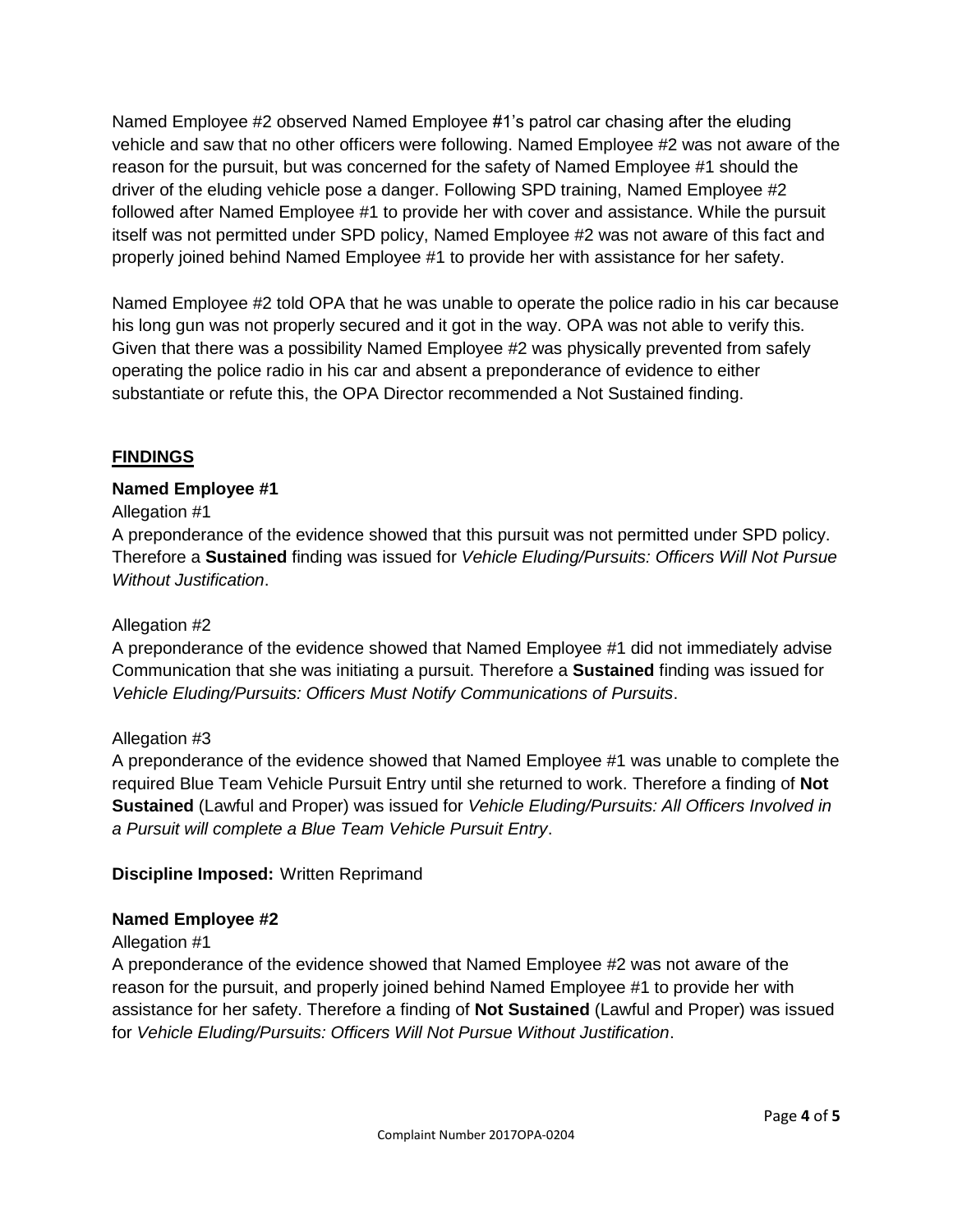Named Employee #2 observed Named Employee #1's patrol car chasing after the eluding vehicle and saw that no other officers were following. Named Employee #2 was not aware of the reason for the pursuit, but was concerned for the safety of Named Employee #1 should the driver of the eluding vehicle pose a danger. Following SPD training, Named Employee #2 followed after Named Employee #1 to provide her with cover and assistance. While the pursuit itself was not permitted under SPD policy, Named Employee #2 was not aware of this fact and properly joined behind Named Employee #1 to provide her with assistance for her safety.

Named Employee #2 told OPA that he was unable to operate the police radio in his car because his long gun was not properly secured and it got in the way. OPA was not able to verify this. Given that there was a possibility Named Employee #2 was physically prevented from safely operating the police radio in his car and absent a preponderance of evidence to either substantiate or refute this, the OPA Director recommended a Not Sustained finding.

# **FINDINGS**

# **Named Employee #1**

# Allegation #1

A preponderance of the evidence showed that this pursuit was not permitted under SPD policy. Therefore a **Sustained** finding was issued for *Vehicle Eluding/Pursuits: Officers Will Not Pursue Without Justification*.

#### Allegation #2

A preponderance of the evidence showed that Named Employee #1 did not immediately advise Communication that she was initiating a pursuit. Therefore a **Sustained** finding was issued for *Vehicle Eluding/Pursuits: Officers Must Notify Communications of Pursuits*.

# Allegation #3

A preponderance of the evidence showed that Named Employee #1 was unable to complete the required Blue Team Vehicle Pursuit Entry until she returned to work. Therefore a finding of **Not Sustained** (Lawful and Proper) was issued for *Vehicle Eluding/Pursuits: All Officers Involved in a Pursuit will complete a Blue Team Vehicle Pursuit Entry*.

#### **Discipline Imposed:** Written Reprimand

#### **Named Employee #2**

#### Allegation #1

A preponderance of the evidence showed that Named Employee #2 was not aware of the reason for the pursuit, and properly joined behind Named Employee #1 to provide her with assistance for her safety. Therefore a finding of **Not Sustained** (Lawful and Proper) was issued for *Vehicle Eluding/Pursuits: Officers Will Not Pursue Without Justification*.